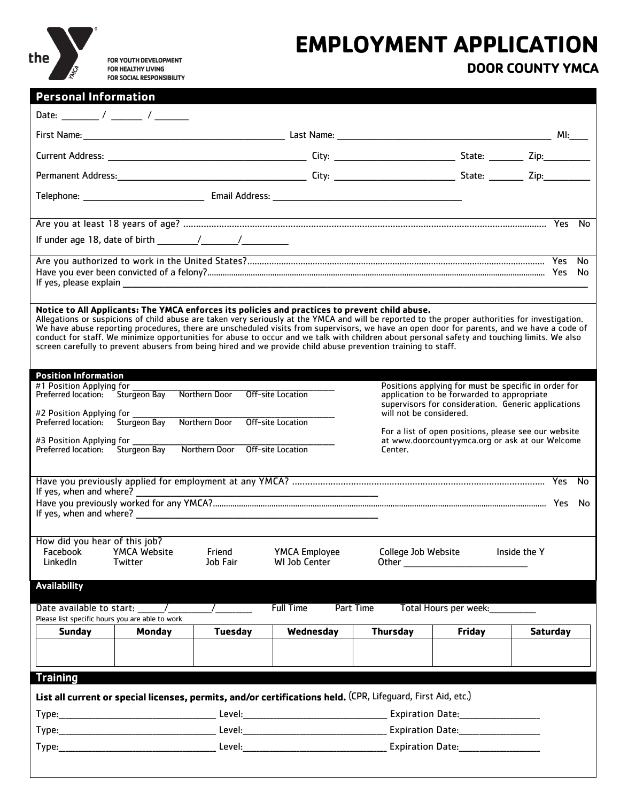

FOR YOUTH DEVELOPMENT FOR HEALTHY LIVING

FOR SOCIAL RESPONSIBILITY

## **EMPLOYMENT APPLICATION**

## **DOOR COUNTY YMCA**

| <b>Personal Information</b>                                                                                                                                                                                                                                                                                                                                                                                                                                                                                                                                                                                                                                      |                                 |                                                                                                                  |           |  |                         |                       |              |                 |           |  |  |
|------------------------------------------------------------------------------------------------------------------------------------------------------------------------------------------------------------------------------------------------------------------------------------------------------------------------------------------------------------------------------------------------------------------------------------------------------------------------------------------------------------------------------------------------------------------------------------------------------------------------------------------------------------------|---------------------------------|------------------------------------------------------------------------------------------------------------------|-----------|--|-------------------------|-----------------------|--------------|-----------------|-----------|--|--|
|                                                                                                                                                                                                                                                                                                                                                                                                                                                                                                                                                                                                                                                                  |                                 |                                                                                                                  |           |  |                         |                       |              |                 |           |  |  |
|                                                                                                                                                                                                                                                                                                                                                                                                                                                                                                                                                                                                                                                                  |                                 |                                                                                                                  |           |  |                         |                       |              |                 |           |  |  |
|                                                                                                                                                                                                                                                                                                                                                                                                                                                                                                                                                                                                                                                                  |                                 |                                                                                                                  |           |  |                         |                       |              |                 |           |  |  |
| Permanent Address: Zip: Zip: 21.12.2010 [21] City: Zip: 21.12.2010 [21] State: 21.12.2010 [21] Zip: 21.12.2010                                                                                                                                                                                                                                                                                                                                                                                                                                                                                                                                                   |                                 |                                                                                                                  |           |  |                         |                       |              |                 |           |  |  |
|                                                                                                                                                                                                                                                                                                                                                                                                                                                                                                                                                                                                                                                                  |                                 |                                                                                                                  |           |  |                         |                       |              |                 |           |  |  |
|                                                                                                                                                                                                                                                                                                                                                                                                                                                                                                                                                                                                                                                                  |                                 | and the control of the control of the control of the control of the control of the control of the control of the |           |  |                         |                       |              |                 |           |  |  |
|                                                                                                                                                                                                                                                                                                                                                                                                                                                                                                                                                                                                                                                                  |                                 |                                                                                                                  |           |  |                         |                       |              |                 |           |  |  |
|                                                                                                                                                                                                                                                                                                                                                                                                                                                                                                                                                                                                                                                                  |                                 |                                                                                                                  |           |  |                         |                       |              |                 |           |  |  |
|                                                                                                                                                                                                                                                                                                                                                                                                                                                                                                                                                                                                                                                                  |                                 |                                                                                                                  |           |  |                         |                       |              |                 |           |  |  |
|                                                                                                                                                                                                                                                                                                                                                                                                                                                                                                                                                                                                                                                                  |                                 |                                                                                                                  |           |  |                         |                       |              |                 |           |  |  |
| Notice to All Applicants: The YMCA enforces its policies and practices to prevent child abuse.<br>Allegations or suspicions of child abuse are taken very seriously at the YMCA and will be reported to the proper authorities for investigation.<br>We have abuse reporting procedures, there are unscheduled visits from supervisors, we have an open door for parents, and we have a code of<br>conduct for staff. We minimize opportunities for abuse to occur and we talk with children about personal safety and touching limits. We also<br>screen carefully to prevent abusers from being hired and we provide child abuse prevention training to staff. |                                 |                                                                                                                  |           |  |                         |                       |              |                 |           |  |  |
| <b>Position Information</b>                                                                                                                                                                                                                                                                                                                                                                                                                                                                                                                                                                                                                                      |                                 |                                                                                                                  |           |  |                         |                       |              |                 |           |  |  |
| #1 Position Applying for<br>Positions applying for must be specific in order for<br>Preferred location: Sturgeon Bay<br>Northern Door<br><b>Off-site Location</b><br>application to be forwarded to appropriate<br>supervisors for consideration. Generic applications                                                                                                                                                                                                                                                                                                                                                                                           |                                 |                                                                                                                  |           |  |                         |                       |              |                 |           |  |  |
| #2 Position Applying for __________<br>Preferred location: Sturgeon Bay                                                                                                                                                                                                                                                                                                                                                                                                                                                                                                                                                                                          | Northern Door Off-site Location |                                                                                                                  |           |  | will not be considered. |                       |              |                 |           |  |  |
| For a list of open positions, please see our website<br>at www.doorcountyymca.org or ask at our Welcome<br>#3 Position Applying for<br>Northern Door Off-site Location<br>Preferred location: Sturgeon Bay<br>Center.                                                                                                                                                                                                                                                                                                                                                                                                                                            |                                 |                                                                                                                  |           |  |                         |                       |              |                 |           |  |  |
|                                                                                                                                                                                                                                                                                                                                                                                                                                                                                                                                                                                                                                                                  |                                 |                                                                                                                  |           |  |                         |                       |              |                 |           |  |  |
|                                                                                                                                                                                                                                                                                                                                                                                                                                                                                                                                                                                                                                                                  |                                 |                                                                                                                  |           |  |                         |                       |              |                 | <b>No</b> |  |  |
| How did you hear of this job?                                                                                                                                                                                                                                                                                                                                                                                                                                                                                                                                                                                                                                    |                                 |                                                                                                                  |           |  |                         |                       |              |                 |           |  |  |
| Facebook<br><b>YMCA Website</b><br>LinkedIn<br>Twitter                                                                                                                                                                                                                                                                                                                                                                                                                                                                                                                                                                                                           | Friend<br>Job Fair              | YMCA Employee<br><b>WI Job Center</b>                                                                            |           |  | College Job Website     |                       | Inside the Y |                 |           |  |  |
| <b>Availability</b>                                                                                                                                                                                                                                                                                                                                                                                                                                                                                                                                                                                                                                              |                                 |                                                                                                                  |           |  |                         |                       |              |                 |           |  |  |
| Date available to start: $\frac{1}{2}$                                                                                                                                                                                                                                                                                                                                                                                                                                                                                                                                                                                                                           |                                 | <b>Full Time</b>                                                                                                 | Part Time |  |                         | Total Hours per week: |              |                 |           |  |  |
| Please list specific hours you are able to work<br><b>Sundav</b><br><b>Monday</b>                                                                                                                                                                                                                                                                                                                                                                                                                                                                                                                                                                                | <b>Tuesday</b>                  | Wednesday                                                                                                        |           |  | <b>Thursday</b>         | <b>Friday</b>         |              | <b>Saturday</b> |           |  |  |
|                                                                                                                                                                                                                                                                                                                                                                                                                                                                                                                                                                                                                                                                  |                                 |                                                                                                                  |           |  |                         |                       |              |                 |           |  |  |
|                                                                                                                                                                                                                                                                                                                                                                                                                                                                                                                                                                                                                                                                  |                                 |                                                                                                                  |           |  |                         |                       |              |                 |           |  |  |
| Training                                                                                                                                                                                                                                                                                                                                                                                                                                                                                                                                                                                                                                                         |                                 |                                                                                                                  |           |  |                         |                       |              |                 |           |  |  |
| List all current or special licenses, permits, and/or certifications held. (CPR, Lifeguard, First Aid, etc.)                                                                                                                                                                                                                                                                                                                                                                                                                                                                                                                                                     |                                 |                                                                                                                  |           |  |                         |                       |              |                 |           |  |  |
|                                                                                                                                                                                                                                                                                                                                                                                                                                                                                                                                                                                                                                                                  |                                 |                                                                                                                  |           |  |                         | Expiration Date: 2008 |              |                 |           |  |  |
| Type: Expiration Date: Expiration Date: Expiration Date: Expiration Date: Expiration Date:                                                                                                                                                                                                                                                                                                                                                                                                                                                                                                                                                                       |                                 |                                                                                                                  |           |  |                         |                       |              |                 |           |  |  |
|                                                                                                                                                                                                                                                                                                                                                                                                                                                                                                                                                                                                                                                                  |                                 |                                                                                                                  |           |  |                         |                       |              |                 |           |  |  |